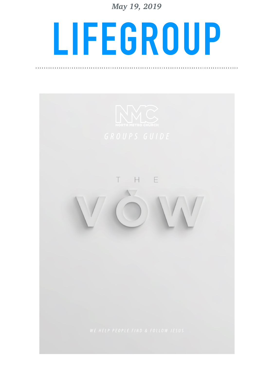*May 19, 2019* 

# **LIFEGROUP**

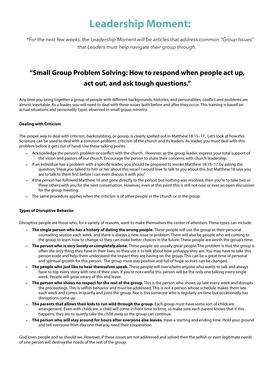### **Leadership Moment:**

*\*For the next few weeks, the Leadership Moment will be articles that address common "Group Issues" that Leaders must help navigate their group through.* 

### **"Small Group Problem Solving: How to respond when people act up, act out, and ask tough questions."**

Any time you bring together a group of people with different backgrounds, histories, and personalities, confict and problems are almost inevitable. As a leader, you will need to deal with these issues both before and after they occur. This training is based on actual situations and personality types observed in small group ministry.

### **Dealing with Criticism**

The proper way to deal with criticism, backstabbing, or gossip, is clearly spelled out in Matthew 18:15–17. Let's look at how this Scripture can be used to deal with a common problem: criticism of the church and its leaders. As leader, you must deal with this problem before it gets out of hand. Use these talking points:

- <sup>¬</sup> Acknowledge the person's problem or confict with the church. However, as the group leader, express your total support of the vision and pastors of our church. Encourage the person to share their concerns with church leadership.
- $*$  If an individual has a problem with a specific leader, you should be prepared to invoke Matthew 18:15–17 by asking the question, "Have you talked to him or her about this issue? I would love to talk to you about this but Matthew 18 says you are to talk to them frst before I can even discuss it with you."
- <sup>¬</sup> If the person has followed Matthew 18 and gone directly to the person but nothing was resolved, then you're to take two or three others with you for the next conversation. However, even at this point this is still not now or ever an open discussion for the group meeting.
- $\ast$  The same procedure applies when the criticism is of other people in the church or in the group.

### **Types of Disruptive Behavior**

Disruptive people are those who, for a variety of reasons, want to make themselves the center of attention. These types can include:

- <sup>¬</sup> **The single person who has a history of dating the wrong people.** These people will use the group as their personal counseling session each week, and there is always a new issue or problem. There will also be people who are coming to the group to learn how to change so they can make better choices in the future. These people are worth the group's time.
- <sup>¬</sup> **The person who is very lonely or completely alone.** These people are usually great people. The problem is that the group is often the only thing they have in their lives, so they use it to talk about how unhappy they are. You may have to take this person aside and help them understand the impact they are having on the group. This can be a great time of personal and spiritual growth for this person. The group must stay positive and full of hope so lives can be changed.
- <sup>¬</sup> **The people who just like to hear themselves speak.** These people will overwhelm anyone who wants to talk and always have to top every story with one of their own. If you're not careful this person will be the only one talking every single week. People will grow weary of this and leave.
- <sup>¬</sup> **The person who shows no respect for the rest of the group.** This is the person who shows up late every week and disrupts the proceedings. This is selfsh behavior and must be addressed. This is not a person whose schedule makes them late each week and comes in quietly and joins the group. Nor is this someone who is regularly on time but occasionally has disruptions come up.
- <sup>¬</sup> **The parents that allows their kids to run wild through the group.** Each group must have some sort of childcare arrangement. Even with childcare, a child will come in from time to time, so make sure each parent knows that if this happens, they are to quietly take the child away so the group can continue.
- The person who will stay around for hours after everyone else leaves. Have a starting and ending time. Hold your ground and tell everyone from day one that you need their cooperation.

God loves people and so should we. However, if these issues are not addressed and solved then the selfsh or even legitimate needs of one person will destroy the needs of the rest of the group.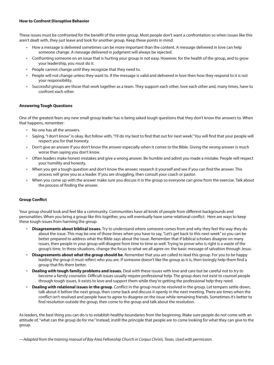### **How to Confront Disruptive Behavior**

These issues must be confronted for the beneft of the entire group. Most people don't want a confrontation so when issues like this aren't dealt with, they just leave and look for another group. Keep these points in mind:

- How a message is delivered sometimes can be more important than the content. A message delivered in love can help someone change. A message delivered in judgment will always be rejected.
- Confronting someone on an issue that is hurting your group in not easy. However, for the health of the group, and to grow your leadership, you must do it.
- $\ast$  People cannot change until they recognize that they need to.
- People will not change unless they want to. If the message is valid and delivered in love then how they respond to it is not your responsibility.
- Successful groups are those that work together as a team. They support each other, love each other and, many times, have to confront each other.

### **Answering Tough Questions**

One of the greatest fears any new small group leader has is being asked tough questions that they don't know the answers to. When that happens, remember:

- <sup>¬</sup> No one has all the answers.
- <sup>¬</sup> Saying, "I don't know" is okay. But follow with, "I'll do my best to fnd that out for next week." You will fnd that your people will respect you for that honesty.
- Don't give an answer if you don't know the answer especially when it comes to the Bible. Giving the wrong answer is much worse than saying you don't know.
- <sup>¬</sup> Often leaders make honest mistakes and give a wrong answer. Be humble and admit you made a mistake. People will respect your humility and honesty.
- <sup>¬</sup> When you get a tough question and don't know the answer, research it yourself and see if you can fnd the answer. This process will grow you as a leader. If you are struggling, then consult your coach or pastor.
- When you come up with the answer make sure you discuss it in the group so everyone can grow from the exercise. Talk about the process of fnding the answer.

### **Group Confict**

Your group should look and feel like a community. Communities have all kinds of people from different backgrounds and personalities. When you bring a group like this together, you will eventually have some relational confict. Here are ways to keep these tough issues from harming the group:

- <sup>¬</sup> **Disagreements about biblical issues.** Try to understand where someone comes from and why they feel the way they do about the issue. This may be one of those times when you have to say, "Let's get back to this next week" so you can be better prepared to address what the Bible says about the issue. Remember that if biblical scholars disagree on many issues, then people in your group will disagree from time to time as well. Trying to prove who is right is a waste of the group's time. In these situations, change the focus to what we all agree on: the basic message of salvation through Jesus.
- <sup>¬</sup> **Disagreements about what the group should be**. Remember that you are called to lead this group. For you to be happy leading the group it must refect who you are. If someone doesn't like the group as it is, then lovingly help them fnd a group that fits them better.
- <sup>¬</sup> **Dealing with tough family problems and issues.** Deal with these issues with love and care but be careful not to try to become a family counselor. Difficult issues usually require professional help. The group does not exist to counsel people through tough issues, it exists to love and support them while they're getting the professional help they need.
- Dealing with relational issues in the group. Conflict in the group must be resolved in the group. Let tempers settle down, talk about it before the next group, then come back and discuss it openly in the next meeting. There are times when the confict isn't resolved and people have to agree to disagree on the issue while remaining friends. Sometimes it's better to fnd resolution outside the group, then come to the group and talk about the resolution.

As leaders, the best thing you can do is to establish healthy boundaries from the beginning. Make sure people do not come with an attitude of, "what can the group do for me." Instead, instill the principle that people are to come looking for what they can give to the group.

*—Adapted from the training manual of Bay Area Fellowship Church in Corpus Christi, Texas. Used with permission.*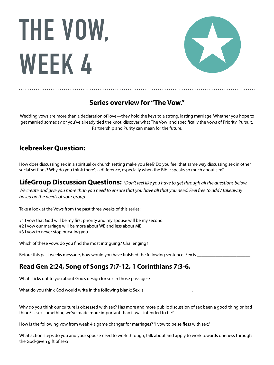# **THE VOW, WEEK 4**



### **Series overview for "The Vow."**

Wedding vows are more than a declaration of love—they hold the keys to a strong, lasting marriage. Whether you hope to get married someday or you've already tied the knot, discover what The Vow and specifcally the vows of Priority, Pursuit, Partnership and Purity can mean for the future.

### **Icebreaker Question:**

How does discussing sex in a spiritual or church setting make you feel? Do you feel that same way discussing sex in other social settings? Why do you think there's a difference, especially when the Bible speaks so much about sex?

**LifeGroup Discussion Questions:** *\*Don't feel like you have to get through all the questions below. We create and give you more than you need to ensure that you have all that you need. Feel free to add / takeaway based on the needs of your group.* 

Take a look at the Vows from the past three weeks of this series:

#1 I vow that God will be my frst priority and my spouse will be my second

- #2 I vow our marriage will be more about WE and less about ME
- #3 I vow to never stop pursuing you

Which of these vows do you fnd the most intriguing? Challenging?

Before this past weeks message, how would you have finished the following sentence: Sex is \_\_\_\_\_\_\_\_\_\_\_\_\_\_\_\_\_\_\_

### **Read Gen 2:24, Song of Songs 7:7-12, 1 Corinthians 7:3-6.**

What sticks out to you about God's design for sex in those passages?

What do you think God would write in the following blank: Sex is \_\_\_\_\_\_\_\_\_\_\_\_\_\_\_

Why do you think our culture is obsessed with sex? Has more and more public discussion of sex been a good thing or bad thing? Is sex something we've made more important than it was intended to be?

How is the following vow from week 4 a game changer for marriages? "I vow to be selfless with sex."

What action steps do you and your spouse need to work through, talk about and apply to work towards oneness through the God-given gift of sex?